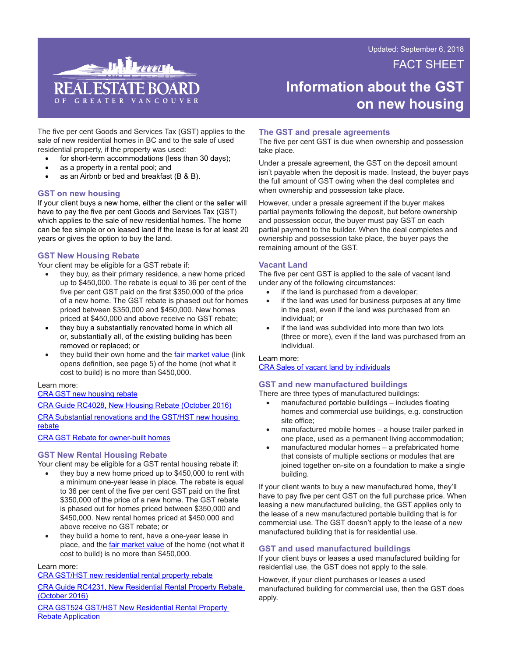FACT SHEET Updated: September 6, 2018



# **Information about the GST on new housing**

The five per cent Goods and Services Tax (GST) applies to the sale of new residential homes in BC and to the sale of used residential property, if the property was used:

- for short-term accommodations (less than 30 days);
- as a property in a rental pool; and
- as an Airbnb or bed and breakfast  $(B & B)$ .

## **GST on new housing**

If your client buys a new home, either the client or the seller will have to pay the five per cent Goods and Services Tax (GST) which applies to the sale of new residential homes. The home can be fee simple or on leased land if the lease is for at least 20 years or gives the option to buy the land.

## **GST New Housing Rebate**

Your client may be eligible for a GST rebate if:

- they buy, as their primary residence, a new home priced up to \$450,000. The rebate is equal to 36 per cent of the five per cent GST paid on the first \$350,000 of the price of a new home. The GST rebate is phased out for homes priced between \$350,000 and \$450,000. New homes priced at \$450,000 and above receive no GST rebate;
- they buy a substantially renovated home in which all or, substantially all, of the existing building has been removed or replaced; or
- they build their own home and the [fair market value](https://www.canada.ca/content/dam/cra-arc/formspubs/pub/rc4028/rc4028-10-16e.pdf) (link opens definition, see page 5) of the home (not what it cost to build) is no more than \$450,000.

## Learn more:

#### [CRA GST new housing rebate](https://www.canada.ca/en/revenue-agency/services/tax/businesses/topics/gst-hst-businesses/gst-hst-home-construction/gst-hst-new-housing-rebate.html)

[CRA Guide RC4028, New Housing Rebate \(October 2016\)](https://www.canada.ca/en/revenue-agency/services/forms-publications/publications/rc4028.html) [CRA Substantial renovations and the GST/HST new housing](https://www.canada.ca/en/revenue-agency/services/forms-publications/publications/b-092/substantial-renovations-gst-hst-new-housing-rebate.html)  [rebate](https://www.canada.ca/en/revenue-agency/services/forms-publications/publications/b-092/substantial-renovations-gst-hst-new-housing-rebate.html)

[CRA GST Rebate for owner-built homes](https://www.canada.ca/en/revenue-agency/services/forms-publications/publications/19-3-4/rebate-owner-built-homes.html)

## **GST New Rental Housing Rebate**

Your client may be eligible for a GST rental housing rebate if:

- they buy a new home priced up to \$450,000 to rent with a minimum one-year lease in place. The rebate is equal to 36 per cent of the five per cent GST paid on the first \$350,000 of the price of a new home. The GST rebate is phased out for homes priced between \$350,000 and \$450,000. New rental homes priced at \$450,000 and above receive no GST rebate; or
- they build a home to rent, have a one-year lease in place, and the *[fair market value](https://www.canada.ca/content/dam/cra-arc/formspubs/pub/rc4028/rc4028-10-16e.pdf)* of the home (not what it cost to build) is no more than \$450,000.

#### Learn more:

[CRA GST/HST new residential rental property rebate](https://www.canada.ca/en/revenue-agency/services/tax/businesses/topics/gst-hst-businesses/gst-hst-home-construction/gst-hst-new-residential-rental-property-rebate.html)

[CRA Guide RC4231, New Residential Rental Property Rebate](https://www.canada.ca/en/revenue-agency/services/forms-publications/publications/rc4231.html)  [\(October 2016\)](https://www.canada.ca/en/revenue-agency/services/forms-publications/publications/rc4231.html)

[CRA GST524 GST/HST New Residential Rental Property](https://www.canada.ca/en/revenue-agency/services/forms-publications/forms/gst524.html)  **[Rebate Application](https://www.canada.ca/en/revenue-agency/services/forms-publications/forms/gst524.html)** 

## **The GST and presale agreements**

The five per cent GST is due when ownership and possession take place.

Under a presale agreement, the GST on the deposit amount isn't payable when the deposit is made. Instead, the buyer pays the full amount of GST owing when the deal completes and when ownership and possession take place.

However, under a presale agreement if the buyer makes partial payments following the deposit, but before ownership and possession occur, the buyer must pay GST on each partial payment to the builder. When the deal completes and ownership and possession take place, the buyer pays the remaining amount of the GST.

## **Vacant Land**

The five per cent GST is applied to the sale of vacant land under any of the following circumstances:

- if the land is purchased from a developer;
- if the land was used for business purposes at any time in the past, even if the land was purchased from an individual; or
- if the land was subdivided into more than two lots (three or more), even if the land was purchased from an individual.

#### Learn more:

[CRA Sales of vacant land by individuals](https://www.canada.ca/en/revenue-agency/services/forms-publications/publications/gi-003/sales-vacant-land-individuals.html)

## **GST and new manufactured buildings**

There are three types of manufactured buildings:

- $manufactured$  portable buildings  $-$  includes floating homes and commercial use buildings, e.g. construction site office;
- manufactured mobile homes a house trailer parked in one place, used as a permanent living accommodation;
- manufactured modular homes a prefabricated home that consists of multiple sections or modules that are joined together on-site on a foundation to make a single building.

If your client wants to buy a new manufactured home, they'll have to pay five per cent GST on the full purchase price. When leasing a new manufactured building, the GST applies only to the lease of a new manufactured portable building that is for commercial use. The GST doesn't apply to the lease of a new manufactured building that is for residential use.

## **GST and used manufactured buildings**

If your client buys or leases a used manufactured building for residential use, the GST does not apply to the sale.

However, if your client purchases or leases a used manufactured building for commercial use, then the GST does apply.